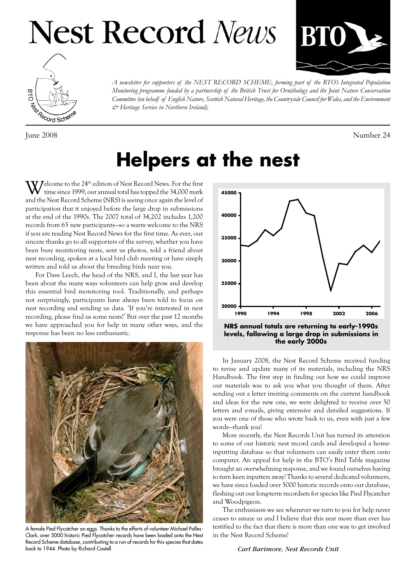# **Nest Record News**





June 2008 Number 24

*A newsletter for supporters of the NEST RECORD SCHEME, forming part of the BTO's Integrated Population* Monitoring programme funded by a partnership of the British Trust for Ornithology and the Joint Nature Conservation Committee (on behalf of English Nature, Scottish Natural Heritage, the Countryside Council for Wales, and the Environment *& Heritage Service in Northern Ireland).*

### **Helpers at the nest**

 $\boldsymbol{V}$  Jelcome to the 24<sup>th</sup> edition of Nest Record News. For the first time since 1999, our annual total has topped the 34,000 mark and the Nest Record Scheme (NRS) is seeing once again the level of participation that it enjoyed before the large drop in submissions at the end of the 1990s. The 2007 total of 34,202 includes 1,200 records from 65 new participants—so a warm welcome to the NRS if you are reading Nest Record News for the first time. As ever, our sincere thanks go to all supporters of the survey, whether you have been busy monitoring nests, sent us photos, told a friend about nest recording, spoken at a local bird club meeting or have simply written and told us about the breeding birds near you.

For Dave Leech, the head of the NRS, and I, the last year has been about the many ways volunteers can help grow and develop this essential bird monitoring tool. Traditionally, and perhaps not surprisingly, participants have always been told to focus on nest recording and sending us data. 'If you're interested in nest recording, please find us some nests!' But over the past 12 months we have approached you for help in many other ways, and the response has been no less enthusiastic.



A female Pied Flycatcher on eggs. Thanks to the efforts of volunteer Michael Palles-Clark, over 5000 historic Pied Flycatcher records have been loaded onto the Nest Record Scheme database, contributing to a run of records for this species that dates back to 1944. Photo by Richard Castell.



**NRS annual totals are returning to early-1990s levels, following a large drop in submissions in the early 2000s**

In January 2008, the Nest Record Scheme received funding to revise and update many of its materials, including the NRS Handbook. The first step in finding out how we could improve our materials was to ask you what you thought of them. After sending out a letter inviting comments on the current handbook and ideas for the new one, we were delighted to receive over 50 letters and e-mails, giving extensive and detailed suggestions. If you were one of those who wrote back to us, even with just a few words—thank you!

More recently, the Nest Records Unit has turned its attention to some of our historic nest record cards and developed a homeinputting database so that volunteers can easily enter them onto computer. An appeal for help in the BTO's Bird Table magazine brought an overwhelming response, and we found ourselves having to turn keen inputters away! Thanks to several dedicated volunteers, we have since loaded over 5000 historic records onto our database, fleshing out our long-term recordsets for species like Pied Flycatcher and Woodpigeon.

The enthusiasm we see whenever we turn to you for help never ceases to amaze us and I believe that this year more than ever has testified to the fact that there is more than one way to get involved in the Nest Record Scheme!

#### *Carl Barimore, Nest Records Unit*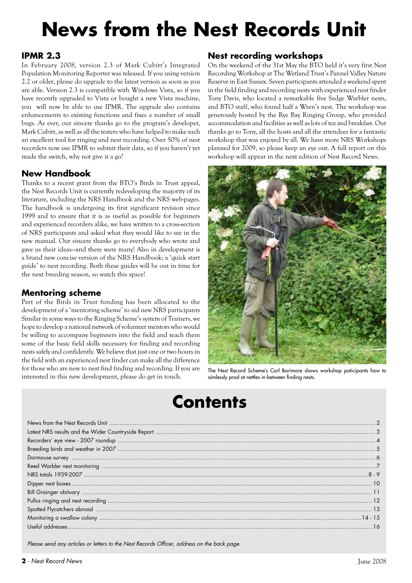## **News from the Nest Records Unit**

### **IPMR 2.3**

In February 2008, version 2.3 of Mark Cubitt's Integrated Population Monitoring Reporter was released. If you using version 2.2 or older, please do upgrade to the latest version as soon as you are able. Version 2.3 is compatible with Windows Vista, so if you have recently upgraded to Vista or bought a new Vista machine, you will now be able to use IPMR. The upgrade also contains enhancements to existing functions and fixes a number of small bugs. As ever, our sincere thanks go to the program's developer, Mark Cubitt, as well as all the testers who have helped to make such an excellent tool for ringing and nest recording. Over 50% of nest recorders now use IPMR to submit their data, so if you haven't yet made the switch, why not give it a go?

### **New Handbook**

Thanks to a recent grant from the BTO's Birds in Trust appeal, the Nest Records Unit is currently redeveloping the majority of its literature, including the NRS Handbook and the NRS web-pages. The handbook is undergoing its first significant revision since 1999 and to ensure that it is as useful as possible for beginners and experienced recorders alike, we have written to a cross-section of NRS participants and asked what they would like to see in the new manual. Our sincere thanks go to everybody who wrote and gave us their ideas—and there were many! Also in development is a brand new concise version of the NRS Handbook; a 'quick start guide' to nest recording. Both these guides will be out in time for the next breeding season, so watch this space!

### **Mentoring scheme**

Part of the Birds in Trust funding has been allocated to the development of a 'mentoring scheme' to aid new NRS participants Similar in some ways to the Ringing Scheme's system of Trainers, we hope to develop a national network of volunteer mentors who would be willing to accompany beginners into the field and teach them some of the basic field skills necessary for finding and recording nests safely and confidently. We believe that just one or two hours in the field with an experienced nest finder can make all the difference for those who are new to nest find finding and recording. If you are interested in this new development, please do get in touch.

### **Nest recording workshops**

On the weekend of the 31st May the BTO held it's very first Nest Recording Workshop at The Wetland Trust's Pannel Valley Nature Reserve in East Sussex. Seven participants attended a weekend spent in the field finding and recording nests with experienced nest finder Tony Davis, who located a remarkable five Sedge Warbler nests, and BTO staff, who found half a Wren's nest. The workshop was generously hosted by the Rye Bay Ringing Group, who provided accommodation and facilities as well as lots of tea and breakfast. Our thanks go to Tony, all the hosts and all the attendees for a fantastic workshop that was enjoyed by all. We have more NRS Workshops planned for 2009, so please keep an eye out. A full report on this workshop will appear in the next edition of Nest Record News.



The Nest Record Scheme's Carl Barimore shows workshop paticipants how to aimlessly prod at nettles in-between finding nests.

### **Contents**

*Please send any articles or letters to the Nest Records Officer, address on the back page.*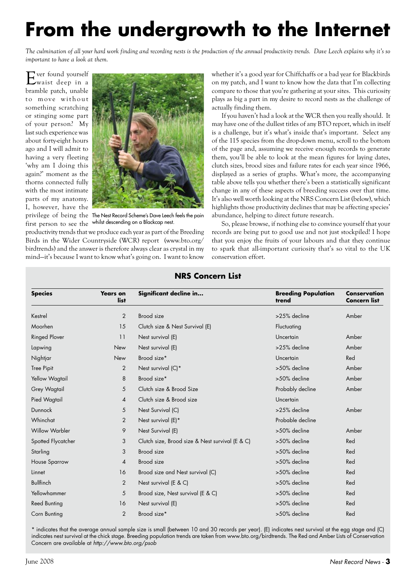## **From the undergrowth to the Internet**

*The culmination of all your hard work finding and recording nests is the production of the annual productivity trends. Dave Leech explains why it's so important to have a look at them.*

Ever found yourself waist deep in a bramble patch, unable to move without something scratching or stinging some part of your person? My last such experience was about forty-eight hours ago and I will admit to having a very fleeting 'why am I doing this again?' moment as the thorns connected fully with the most intimate parts of my anatomy. I, however, have the



privilege of being the The Nest Record Scheme's Dave Leech feels the pain first person to see the whilst descending on a Blackcap nest.

productivity trends that we produce each year as part of the Breeding Birds in the Wider Countryside (WCR) report (www.bto.org/ birdtrends) and the answer is therefore always clear as crystal in my mind—it's because I want to know what's going on. I want to know whether it's a good year for Chiffchaffs or a bad year for Blackbirds on my patch, and I want to know how the data that I'm collecting compare to those that you're gathering at your sites. This curiosity plays as big a part in my desire to record nests as the challenge of actually finding them.

If you haven't had a look at the WCR then you really should. It may have one of the dullest titles of any BTO report, which in itself is a challenge, but it's what's inside that's important. Select any of the 115 species from the drop-down menu, scroll to the bottom of the page and, assuming we receive enough records to generate them, you'll be able to look at the mean figures for laying dates, clutch sizes, brood sizes and failure rates for each year since 1966, displayed as a series of graphs. What's more, the accompanying table above tells you whether there's been a statistically significant change in any of these aspects of breeding success over that time. It's also well worth looking at the NRS Concern List (below), which highlights those productivity declines that may be affecting species' abundance, helping to direct future research.

So, please browse, if nothing else to convince yourself that your records are being put to good use and not just stockpiled! I hope that you enjoy the fruits of your labours and that they continue to spark that all-important curiosity that's so vital to the UK conservation effort.

| <b>Species</b>        | <b>Years on</b><br>list | Significant decline in                          | <b>Breeding Population</b><br>trend | Conservation<br><b>Concern list</b> |  |
|-----------------------|-------------------------|-------------------------------------------------|-------------------------------------|-------------------------------------|--|
| Kestrel               | 2                       | Brood size                                      | >25% decline                        | Amber                               |  |
| Moorhen               | 15                      | Clutch size & Nest Survival (E)                 | Fluctuating                         |                                     |  |
| <b>Ringed Plover</b>  | 11                      | Nest survival (E)                               | Uncertain                           | Amber                               |  |
| Lapwing               | New                     | Nest survival (E)                               | >25% decline                        | Amber                               |  |
| Nightjar              | <b>New</b>              | Brood size*                                     | Uncertain                           | Red                                 |  |
| <b>Tree Pipit</b>     | 2                       | Nest survival (C)*                              | >50% decline                        | Amber                               |  |
| Yellow Wagtail        | 8                       | Brood size*                                     | >50% decline                        | Amber                               |  |
| Grey Wagtail          | 5                       | Clutch size & Brood Size                        | Probably decline                    | Amber                               |  |
| Pied Wagtail          | $\overline{4}$          | Clutch size & Brood size                        | Uncertain                           |                                     |  |
| Dunnock               | 5                       | Nest Survival (C)                               | >25% decline                        | Amber                               |  |
| Whinchat              | 2                       | Nest survival (E)*                              | Probable decline                    |                                     |  |
| <b>Willow Warbler</b> | 9                       | Nest Survival (E)                               | >50% decline                        | Amber                               |  |
| Spotted Flycatcher    | 3                       | Clutch size, Brood size & Nest survival (E & C) | >50% decline                        | Red                                 |  |
| Starling              | 3                       | Brood size                                      | >50% decline                        | Red                                 |  |
| <b>House Sparrow</b>  | $\overline{A}$          | Brood size                                      | >50% decline                        | Red                                 |  |
| Linnet                | 16                      | Brood size and Nest survival (C)                | >50% decline                        | Red                                 |  |
| <b>Bullfinch</b>      | 2                       | Nest survival (E & C)                           | >50% decline                        | Red                                 |  |
| Yellowhammer          | 5                       | Brood size, Nest survival (E & C)               | >50% decline                        | Red                                 |  |
| <b>Reed Bunting</b>   | 16                      | Nest survival (E)                               | >50% decline                        | Red                                 |  |
| Corn Bunting          | 2                       | Brood size*                                     | >50% decline                        | Red                                 |  |

### **NRS Concern List**

\* indicates that the average annual sample size is small (between 10 and 30 records per year). (E) indicates nest survival at the egg stage and (C) indicates nest survival at the chick stage. Breeding population trends are taken from www.bto.org/birdtrends. The Red and Amber Lists of Conservation Concern are available at *http://www.bto.org/psob*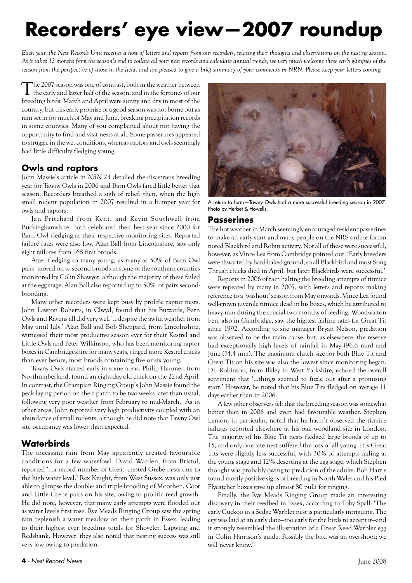## **Recorders' eye view—2007 roundup**

*Each year, the Nest Records Unit receives a host of letters and reports from our recorders, relating their thoughts and observations on the nesting season. As it takes 12 months from the season's end to collate all your nest records and calculate annual trends, we very much welcome these early glimpses of the season from the perspective of those in the field, and are pleased to give a brief summary of your comments in NRN. Please keep your letters coming!*

The 2007 season was one of contrast, both in the weather between the early and latter half of the season, and in the fortunes of our breeding birds. March and April were sunny and dry in most of the country, but this early promise of a good season was not borne out as rain set in for much of May and June, breaking precipitation records in some counties. Many of you complained about not having the opportunity to find and visit nests at all. Some passerines appeared to struggle in the wet conditions, whereas raptors and owls seemingly had little difficulty fledging young.

### **Owls and raptors**

John Massie's article in *NRN 23* detailed the disastrous breeding year for Tawny Owls in 2006 and Barn Owls fared little better that season. Recorders breathed a sigh of relief, then, when the high small rodent population in 2007 resulted in a bumper year for owls and raptors.

Jan Pritchard from Kent, and Kevin Southwell from Buckinghamshire, both celebrated their best year since 2000 for Barn Owl fledging at their respective monitoring sites. Reported failure rates were also low. Alan Ball from Lincolnshire, saw only eight failures from 168 first broods.

After fledging so many young, as many as 50% of Barn Owl pairs moved on to second broods in some of the southern counties monitored by Colin Shawyer, although the majority of these failed at the egg stage. Alan Ball also reported up to 50% of pairs secondbrooding.

Many other recorders were kept busy by prolific raptor nests. John Lawton Roberts, in Clwyd, found that his Buzzards, Barn Owls and Ravens all did very well '...despite the awful weather from May until July.' Alan Ball and Bob Sheppard, from Lincolnshire, witnessed their most productive season ever for their Kestrel and Little Owls and Peter Wilkinson, who has been monitoring raptor boxes in Cambridgeshire for many years, ringed more Kestrel chicks than ever before, most broods containing five or six young.

Tawny Owls started early in some areas. Philip Hanmer, from Northumberland, found an eight-day-old chick on the 22nd April. In contrast, the Grampian Ringing Group's John Massie found the peak laying period on their patch to be two weeks later than usual, following very poor weather from February to mid-March. As in other areas, John reported very high productivity coupled with an abundance of small rodents, although he did note that Tawny Owl site occupancy was lower than expected.

### **Waterbirds**

The incessant rain from May apparently created favourable conditions for a few waterfowl. David Warden, from Bristol, reported '…a record number of Great -crested Grebe nests due to the high water level.' Rex Knight, from West Sussex, was only just able to glimpse the double- and triple-brooding of Moorhen, Coot and Little Grebe pairs on his site, owing to prolific reed growth. He did note, however, that many early attempts were flooded out as water levels first rose. Rye Meads Ringing Group saw the spring rain replenish a water meadow on their patch in Essex, leading to their highest ever breeding totals for Shoveler, Lapwing and Redshank. However, they also noted that nesting success was still very low owing to predation.



A return to form—Tawny Owls had a more successful breeding season in 2007. Photo by Herbet & Howells.

### **Passerines**

The hot weather in March seemingly encouraged resident passerines to make an early start and many people on the NRS online forum noted Blackbird and Robin activity. Not all of these were successful, however, as Vince Lea from Cambridge pointed out: 'Early breeders were thwarted by hard-baked ground, so all Blackbird and most Song Thrush chicks died in April, but later Blackbirds were successful.'

Reports in 2006 of rain halting the breeding attempts of titmice were repeated by many in 2007, with letters and reports making reference to a 'washout' season from May onwards. Vince Lea found well-grown juvenile titmice dead in his boxes, which he attributed to heavy rain during the crucial two months of feeding. Woodwalton Fen, also in Cambridge, saw the highest failure rates for Great Tit since 1992. According to site manager Bryan Nelson, predation was observed to be the main cause, but, as elsewhere, the reserve had exceptionally high levels of rainfall in May (96.6 mm) and June (74.4 mm). The maximum clutch size for both Blue Tit and Great Tit on his site was also the lowest since monitoring began. DL Robinson, from Ilkley in West Yorkshire, echoed the overall sentiment that '…things seemed to fizzle out after a promising start.' However, he noted that his Blue Tits fledged on average 11 days earlier than in 2006.

A few other observers felt that the breeding season was somewhat better than in 2006 and even had favourable weather. Stephen Lemon, in particular, noted that he hadn't observed the titmice failures reported elsewhere at his oak woodland site in London. The majority of his Blue Tit nests fledged large broods of up to 15, and only one late nest suffered the loss of all young. His Great Tits were slightly less successful, with 30% of attempts failing at the young stage and 12% deserting at the egg stage, which Stephen thought was probably owing to predation of the adults. Bob Harris found mostly positive signs of breeding in North Wales and his Pied Flycatcher boxes gave up almost 80 pulli for ringing.

Finally, the Rye Meads Ringing Group made an interesting discovery in their reedbed in Essex, according to Toby Spall: 'The early Cuckoo in a Sedge Warbler nest is particularly intriguing. The egg was laid at an early date—too early for the birds to accept it—and it strongly resembled the illustration of a Great Reed Warbler egg in Colin Harrison's guide. Possibly the bird was an overshoot; we will never know.'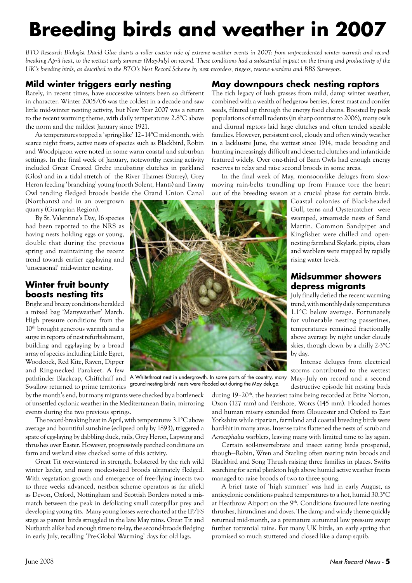## **Breeding birds and weather in 2007**

*BTO Research Biologist David Glue charts a roller coaster ride of extreme weather events in 2007: from unprecedented winter warmth and recordbreaking April heat, to the wettest early summer (May-July) on record. These conditions had a substantial impact on the timing and productivity of the UK's breeding birds, as described to the BTO's Nest Record Scheme by nest recorders, ringers, reserve wardens and BBS Surveyors.*

### **Mild winter triggers early nesting**

Rarely, in recent times, have successive winters been so different in character. Winter 2005/06 was the coldest in a decade and saw little mid-winter nesting activity, but New Year 2007 was a return to the recent warming theme, with daily temperatures 2.8°C above the norm and the mildest January since 1921.

As temperatures topped a 'spring-like' 12–14°C mid-month, with scarce night frosts, active nests of species such as Blackbird, Robin and Woodpigeon were noted in some warm coastal and suburban settings. In the final week of January, noteworthy nesting activity included Great Crested Grebe incubating clutches in parkland (Glos) and in a tidal stretch of the River Thames (Surrey), Grey Heron feeding 'branching' young (north Solent, Hants) and Tawny Owl tending fledged broods beside the Grand Union Canal

(Northants) and in an overgrown quarry (Grampian Region).

By St. Valentine's Day, 16 species had been reported to the NRS as having nests holding eggs or young, double that during the previous spring and maintaining the recent trend towards earlier egg-laying and 'unseasonal' mid-winter nesting.

### **Winter fruit bounty boosts nesting tits**

Bright and breezy conditions heralded a mixed bag 'Manyweather' March. High pressure conditions from the 10<sup>th</sup> brought generous warmth and a surge in reports of nest refurbishment, building and egg-laying by a broad array of species including Little Egret, Woodcock, Red Kite, Raven, Dipper and Ring-necked Parakeet. A few Swallow returned to prime territories



pathfinder Blackcap, Chiffchaff and A Whitethroat nest in undergrowth. In some parts of the country, many ground-nesting birds' nests were flooded out during the May deluge.

by the month's end, but many migrants were checked by a bottleneck of unsettled cyclonic weather in the Mediterranean Basin, mirroring events during the two previous springs.

The record-breaking heat in April, with temperatures 3.1°C above average and bountiful sunshine (eclipsed only by 1893), triggered a spate of egg-laying by dabbling duck, rails, Grey Heron, Lapwing and thrushes over Easter. However, progressively parched conditions on farm and wetland sites checked some of this activity.

Great Tit overwintered in strength, bolstered by the rich wild winter larder, and many modest-sized broods ultimately fledged. With vegetation growth and emergence of free-flying insects two to three weeks advanced, nestbox scheme operators as far afield as Devon, Oxford, Nottingham and Scottish Borders noted a mismatch between the peak in defoliating small caterpillar prey and developing young tits. Many young losses were charted at the IP/FS stage as parent birds struggled in the late May rains. Great Tit and Nuthatch alike had enough time to re-lay, the second-broods fledging in early July, recalling 'Pre-Global Warming' days for old lags.

### **May downpours check nesting raptors**

The rich legacy of lush grasses from mild, damp winter weather, combined with a wealth of hedgerow berries, forest mast and conifer seeds, filtered up through the energy food chains. Boosted by peak populations of small rodents (in sharp contrast to 2006), many owls and diurnal raptors laid large clutches and often tended sizeable families. However, persistent cool, cloudy and often windy weather in a lacklustre June, the wettest since 1914, made brooding and hunting increasingly difficult and deserted clutches and infanticide featured widely. Over one-third of Barn Owls had enough energy reserves to relay and raise second broods in some areas.

In the final week of May, monsoon-like deluges from slowmoving rain-belts trundling up from France tore the heart out of the breeding season at a crucial phase for certain birds.

> Coastal colonies of Black-headed Gull, terns and Oystercatcher were swamped, streamside nests of Sand Martin, Common Sandpiper and Kingfisher were chilled and opennesting farmland Skylark, pipits, chats and warblers were trapped by rapidly rising water levels.

### **Midsummer showers depress migrants**

July finally defied the recent warming trend, with monthly daily temperatures 1.1°C below average. Fortunately for vulnerable nesting passerines, temperatures remained fractionally above average by night under cloudy skies, though down by a chilly 2-3°C by day.

Intense deluges from electrical storms contributed to the wettest May–July on record and a second destructive episode hit nesting birds

during 19–20<sup>th</sup>, the heaviest rains being recorded at Brize Norton, Oxon (127 mm) and Pershore, Worcs (145 mm). Flooded homes and human misery extended from Gloucester and Oxford to East Yorkshire while riparian, farmland and coastal breeding birds were hard-hit in many areas. Intense rains flattened the nests of scrub and *Acrocephalus* warblers, leaving many with limited time to lay again.

Certain soil-invertebrate and insect eating birds prospered, though—Robin, Wren and Starling often rearing twin broods and Blackbird and Song Thrush raising three families in places. Swifts searching for aerial plankton high above humid active weather fronts managed to raise broods of two to three young.

A brief taste of 'high summer' was had in early August, as anticyclonic conditions pushed temperatures to a hot, humid 30.3°C at Heathrow Airport on the 9<sup>th</sup>. Conditions favoured late nesting thrushes, hirundines and doves. The damp and windy theme quickly returned mid-month, as a premature autumnal low pressure swept further torrential rains. For many UK birds, an early spring that promised so much stuttered and closed like a damp squib.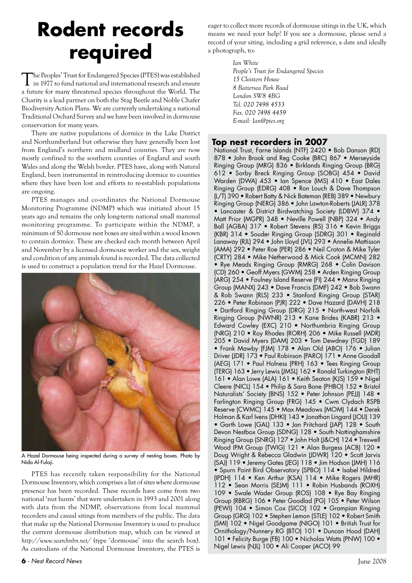### **Rodent records required**

The Peoples' Trust for Endangered Species (PTES) was established in 1977 to fund national and international research and ensure a future for many threatened species throughout the World. The Charity is a lead partner on both the Stag Beetle and Noble Chafer Biodiversity Action Plans. We are currently undertaking a national Traditional Orchard Survey and we have been involved in dormouse conservation for many years.

There are native populations of dormice in the Lake District and Northumberland but otherwise they have generally been lost from England's northern and midland counties. They are now mostly confined to the southern counties of England and south Wales and along the Welsh border. PTES have, along with Natural England, been instrumental in reintroducing dormice to counties where they have been lost and efforts to re-establish populations are ongoing.

PTES manages and co-ordinates the National Dormouse Monitoring Programme (NDMP) which was initiated about 15 years ago and remains the only long-term national small mammal monitoring programme. To participate within the NDMP, a minimum of 50 dormouse nest boxes are sited within a wood known to contain dormice. These are checked each month between April and November by a licensed dormouse worker and the sex, weight and condition of any animals found is recorded. The data collected is used to construct a population trend for the Hazel Dormouse.



A Hazel Dormouse being inspected during a survey of nesting boxes. Photo by Nida Al-Fulaji.

PTES has recently taken responsibility for the National Dormouse Inventory, which comprises a list of sites where dormouse presence has been recorded. These records have come from two national 'nut hunts' that were undertaken in 1993 and 2001 along with data from the NDMP, observations from local mammal recorders and casual sitings from members of the public. The data that make up the National Dormouse Inventory is used to produce the current dormouse distribution map, which can be viewed at *http://www.searchnbn.net/* (type 'dormouse' into the search box). As custodians of the National Dormouse Inventory, the PTES is eager to collect more records of dormouse sitings in the UK, which means we need your help! If you see a dormouse, please send a record of your siting, including a grid reference, a date and ideally a photograph, to:

> *Ian White People's Trust for Endangered Species 15 Cloisters House 8 Battersea Park Road London SW8 4BG Tel. 020 7498 4533 Fax. 020 7498 4459 E-mail: Ian@ptes.org*

### **Top nest recorders in 2007**

National Trust, Farne Islands (NTF) 2420 • Bob Danson (RD) 878 • John Brook and Reg Cooke (BRC) 867 • Merseyside Ringing Group (MRG) 836 • Birklands Ringing Group (BRG) 612 • Sorby Breck Ringing Group (SOBG) 454 • David Warden (DWA) 453 • Ian Spence (IMS) 410 • East Dales Ringing Group (EDRG) 408 • Ron Louch & Dave Thompson (L/T) 390 • Robert Batty & Nick Bateman (REB) 389 • Newbury Ringing Group (NERG) 386 • John Lawton-Roberts (JALR) 378 • Lancaster & District Birdwatching Society (LDBW) 374 • Matt Prior (MGPR) 348 • Neville Powell (NBP) 324 • Andy Ball (AGBA) 317 • Robert Stevens (RS) 316 • Kevin Briggs (KBR) 314 • Souder Ringing Group (SDRG) 301 • Reginald Lanaway (RJL) 294 • John Lloyd (JVL) 293 • Annelie Mattisson (AMA) 292 • Peter Roe (PER) 286 • Neil Croton & Mike Tyler (CRTY) 284 • Mike Netherwood & Mick Cook (MCMN) 282 • Rye Meads Ringing Group (RMRG) 268 • Colin Davison (CD) 260 • Geoff Myers (GWM) 258 • Arden Ringing Group (ARG) 254 • Foulney Island Reserve (FI) 244 • Manx Ringing Group (MANX) 243 • Dave Francis (DMF) 242 • Bob Swann & Rob Swann (RLS) 233 • Stanford Ringing Group (STAR) 226 • Peter Robinson (PJR) 222 • Dave Hazard (DAVH) 218 • Dartford Ringing Group (DRG) 215 • North-west Norfolk Ringing Group (NWNR) 213 • Kane Brides (KABR) 213 • Edward Cowley (EXC) 210 • Northumbria Ringing Group (NRG) 210 • Roy Rhodes (RORH) 206 • Mike Russell (MDR) 205 • David Myers (DAM) 203 • Tom Dewdney (TGD) 189 • Frank Mawby (FJM) 178 • Alan Old (ABO) 176 • Julian Driver (JDR) 173 • Paul Robinson (PARO) 171 • Anne Goodall (AEG) 171 • Paul Holness (PRH) 163 • Tees Ringing Group (TERG) 163 • Jerry Lewis (JMSL) 162 • Ronald Turkington (RHT) 161 • Alan Lowe (ALA) 161 • Keith Seaton (KJS) 159 • Nigel Cleere (NICL) 154 • Philip & Sara Bone (PHBO) 152 • Bristol Naturalists' Society (BNS) 152 • Peter Johnson (PEJJ) 148 • Farlington Ringing Group (FRG) 145 • Cwm Clydach RSPB Reserve (CWMC) 145 • Max Meadows (MOM) 144 • Derek Holman & Karl Ivens (DHKI) 143 • Jonathan Lingard (JOLI) 139 • Garth Lowe (GAL) 133 • Jan Pritchard (JAP) 128 • South Devon Nestbox Group (SDNG) 128 • South Nottinghamshire Ringing Group (SNRG) 127 • John Holt (J&CH) 124 • Treswell Wood IPM Group (TWIG) 121 • Alan Burgess (ACB) 120 • Doug Wright & Rebecca Gladwin (JDWR) 120 • Scott Jarvis (SAJ) 119 • Jeremy Gates (JEG) 118 • Jim Hodson (JMH) 116 • Spurn Point Bird Observatory (SPBO) 114 • Isabel Hildred (IPDH) 114 • Ken Arthur (KSA) 114 • Mike Rogers (MHR) 112 • Sean Morris (SEJM) 111 • Robin Husbands (ROXH) 109 • Swale Wader Group (ROS) 108 • Rye Bay Ringing Group (RBRG) 106 • Peter Goodlad (PG) 105 • Peter Wilson (PEWI) 104 • Simon Cox (SICO) 102 • Grampian Ringing Group (GRG) 102 • Stephen Lemon (STLE) 102 • Robert Smith (SMI) 102 • Nigel Goodgame (NIGO) 101 • British Trust for Ornithology/Nunnery RG (BTO) 101 • Duncan Hood (DAH) 101 • Felicity Burge (FB) 100 • Nicholas Watts (PNW) 100 • Nigel Lewis (NJL) 100 • Ali Cooper (ACO) 99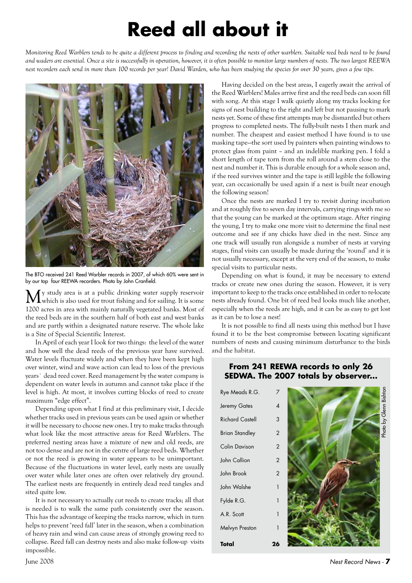## **Reed all about it**

*Monitoring Reed Warblers tends to be quite a different process to finding and recording the nests of other warblers. Suitable reed beds need to be found and waders are essential. Once a site is successfully in operation, however, it is often possible to monitor large numbers of nests. The two largest REEWA nest recorders each send in more than 100 records per year! David Warden, who has been studying the species for over 30 years, gives a few tips.* 



The BTO received 241 Reed Warbler records in 2007, of which 60% were sent in by our top four REEWA recorders. Photo by John Cranfield.

y study area is at a public drinking water supply reservoir which is also used for trout fishing and for sailing. It is some 1200 acres in area with mainly naturally vegetated banks. Most of the reed beds are in the southern half of both east and west banks and are partly within a designated nature reserve. The whole lake is a Site of Special Scientific Interest.

In April of each year I look for two things: the level of the water and how well the dead reeds of the previous year have survived. Water levels fluctuate widely and when they have been kept high over winter, wind and wave action can lead to loss of the previous years` dead reed cover. Reed management by the water company is dependent on water levels in autumn and cannot take place if the level is high. At most, it involves cutting blocks of reed to create maximum "edge effect".

Depending upon what I find at this preliminary visit, I decide whether tracks used in previous years can be used again or whether it will be necessary to choose new ones. I try to make tracks through what look like the most attractive areas for Reed Warblers. The preferred nesting areas have a mixture of new and old reeds, are not too dense and are not in the centre of large reed beds. Whether or not the reed is growing in water appears to be unimportant. Because of the fluctuations in water level, early nests are usually over water while later ones are often over relatively dry ground. The earliest nests are frequently in entirely dead reed tangles and sited quite low.

It is not necessary to actually cut reeds to create tracks; all that is needed is to walk the same path consistently over the season. This has the advantage of keeping the tracks narrow, which in turn helps to prevent 'reed fall' later in the season, when a combination of heavy rain and wind can cause areas of strongly growing reed to collapse. Reed fall can destroy nests and also make follow-up visits impossible.

Having decided on the best areas, I eagerly await the arrival of the Reed Warblers! Males arrive first and the reed beds can soon fill with song. At this stage I walk quietly along my tracks looking for signs of nest building to the right and left but not pausing to mark nests yet. Some of these first attempts may be dismantled but others progress to completed nests. The fully-built nests I then mark and number. The cheapest and easiest method I have found is to use masking tape—the sort used by painters when painting windows to protect glass from paint – and an indelible marking pen. I fold a short length of tape torn from the roll around a stem close to the nest and number it. This is durable enough for a whole season and, if the reed survives winter and the tape is still legible the following year, can occasionally be used again if a nest is built near enough the following season!

Once the nests are marked I try to revisit during incubation and at roughly five to seven day intervals, carrying rings with me so that the young can be marked at the optimum stage. After ringing the young, I try to make one more visit to determine the final nest outcome and see if any chicks have died in the nest. Since any one track will usually run alongside a number of nests at varying stages, final visits can usually be made during the 'round' and it is not usually necessary, except at the very end of the season, to make special visits to particular nests.

Depending on what is found, it may be necessary to extend tracks or create new ones during the season. However, it is very important to keep to the tracks once established in order to re-locate nests already found. One bit of reed bed looks much like another, especially when the reeds are high, and it can be as easy to get lost as it can be to lose a nest!

It is not possible to find all nests using this method but I have found it to be the best compromise between locating significant numbers of nests and causing minimum disturbance to the birds and the habitat.

### **From 241 REEWA records to only 26 SEDWA. The 2007 totals by observer...**

| Rye Meads R.G.         | 7              |                        |
|------------------------|----------------|------------------------|
| Jeremy Gates           | 4              |                        |
| <b>Richard Castell</b> | 3              | Photo by Glenn Bishton |
| <b>Brian Standley</b>  | $\overline{2}$ |                        |
| <b>Colin Davison</b>   | $\overline{2}$ |                        |
| John Callion           | $\overline{2}$ |                        |
| John Brook             | $\overline{2}$ |                        |
| John Walshe            | 1              |                        |
| Fylde R.G.             | 1              |                        |
| A.R. Scott             | $\mathbf{1}$   |                        |
| Melvyn Preston         | $\mathbf{1}$   |                        |
| Total                  | 26             |                        |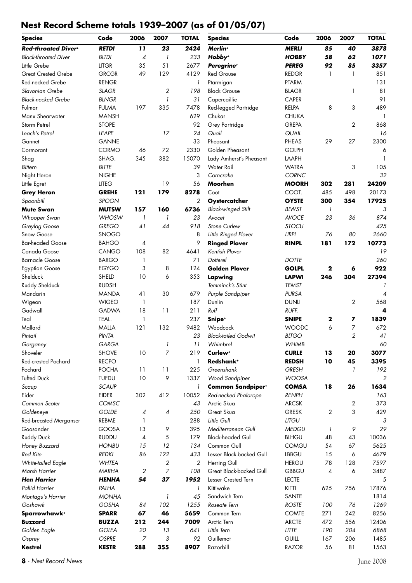### **Nest Record Scheme totals 1939–2007 (as of 01/05/07)**

| <b>Species</b>              | Code         | 2006           | 2007                     | <b>TOTAL</b>   | <b>Species</b>             | Code         | 2006          | 2007           | <b>TOTAL</b> |
|-----------------------------|--------------|----------------|--------------------------|----------------|----------------------------|--------------|---------------|----------------|--------------|
| Red-throated Diver+         | <b>RETDI</b> | 11             | 23                       | 2424           | Merlin <sup>+</sup>        | <b>MERLI</b> | 85            | 40             | 3878         |
| <b>Black-throated Diver</b> | <b>BLTDI</b> | 4              | $\overline{\phantom{a}}$ | 233            | Hobby <sup>+</sup>         | <b>HOBBY</b> | 58            | 62             | 1071         |
| Little Grebe                | <b>LITGR</b> | 35             | 51                       | 2677           | Peregrine <sup>+</sup>     | <b>PEREG</b> | 92            | 85             | 3357         |
| <b>Great Crested Grebe</b>  | <b>GRCGR</b> | 49             | 129                      | 4129           | <b>Red Grouse</b>          | <b>REDGR</b> | 1             | $\overline{1}$ | 851          |
| Red-necked Grebe            | <b>RENGR</b> |                |                          | 1              | Ptarmigan                  | PTARM        |               |                | 131          |
| Slavonian Grebe             | <b>SLAGR</b> |                | $\sqrt{2}$               | 198            | <b>Black Grouse</b>        | <b>BLAGR</b> |               | 1              | 81           |
| <b>Black-necked Grebe</b>   | <b>BLNGR</b> |                | 1                        | 31             | Capercaillie               | <b>CAPER</b> |               |                | 91           |
| Fulmar                      | <b>FULMA</b> | 197            | 335                      | 7478           | Red-legged Partridge       | RELPA        | 8             | 3              | 489          |
| Manx Shearwater             | <b>MANSH</b> |                |                          | 629            | Chukar                     | <b>CHUKA</b> |               |                | -1           |
| Storm Petrel                | <b>STOPE</b> |                |                          | 92             | Grey Partridge             | <b>GREPA</b> |               | 2              | 868          |
| Leach's Petrel              | <b>LEAPE</b> |                | 17                       | 24             | Quail                      | QUAIL        |               |                | 16           |
| Gannet                      | <b>GANNE</b> |                |                          | 33             | Pheasant                   | <b>PHEAS</b> | 29            | 27             | 2300         |
| Cormorant                   | <b>CORMO</b> | 46             | 72                       | 2330           | Golden Pheasant            | <b>GOLPH</b> |               |                | 6            |
| Shag                        | SHAG.        | 345            | 382                      | 15070          | Lady Amherst's Pheasant    | LAAPH        |               |                | $\mathbf{1}$ |
| <b>Bittern</b>              | <b>BITTE</b> |                |                          | 39             | Water Rail                 | <b>WATRA</b> |               | 3              | 105          |
| Night Heron                 | <b>NIGHE</b> |                |                          | 3              | Corncrake                  | <b>CORNC</b> |               |                | 32           |
| Little Egret                | <b>LITEG</b> |                | 19                       | 56             | Moorhen                    | <b>MOORH</b> | 302           | 281            | 24209        |
| <b>Grey Heron</b>           | <b>GREHE</b> | 121            | 179                      | 8278           | Coot                       | COOT.        | 485           | 498            | 20173        |
| Spoonbill                   | <b>SPOON</b> |                |                          | 2              | Oystercatcher              | <b>OYSTE</b> | 300           | 354            | 17925        |
| <b>Mute Swan</b>            | <b>MUTSW</b> | 157            | 160                      | 6736           | <b>Black-winged Stilt</b>  | <b>BLWST</b> | $\mathcal{I}$ |                | 3            |
| Whooper Swan                | WHOSW        | 1              | 1                        | 23             | Avocet                     | <b>AVOCE</b> | 23            | 36             | 874          |
| Greylag Goose               | <b>GREGO</b> | 41             | 44                       | 918            | Stone Curlew               | <b>STOCU</b> |               |                | 425          |
| Snow Goose                  | <b>SNOGO</b> |                |                          | 8              | Little Ringed Plover       | <b>LIRPL</b> | 76            | 80             | 2660         |
| <b>Bar-headed Goose</b>     | <b>BAHGO</b> | 4              |                          | 9              | <b>Ringed Plover</b>       | <b>RINPL</b> | 181           | 172            | 10773        |
| Canada Goose                | CANGO        | 108            | 82                       | 4641           | Kentish Plover             |              |               |                | 19           |
| <b>Barnacle Goose</b>       | <b>BARGO</b> | 1              |                          | 71             | Dotterel                   | <b>DOTTE</b> |               |                | 260          |
| <b>Egyptian Goose</b>       | <b>EGYGO</b> | 3              | 8                        | 124            | <b>Golden Plover</b>       | <b>GOLPL</b> | 2             | 6              | 922          |
| Shelduck                    | SHELD        | 10             | 6                        | 353            | Lapwing                    | <b>LAPWI</b> | 246           | 304            | 27394        |
| Ruddy Shelduck              | <b>RUDSH</b> |                |                          |                | Temminck's Stint           | <b>TEMST</b> |               |                |              |
| Mandarin                    | <b>MANDA</b> | 41             | 30                       | 679            | Purple Sandpiper           | <b>PURSA</b> |               |                | 4            |
| Wigeon                      | <b>WIGEO</b> | 1              |                          | 187            | Dunlin                     | <b>DUNLI</b> |               | 2              | 568          |
| Gadwall                     | <b>GADWA</b> | 18             | 11                       | 211            | $R \cup ff$                | RUFF.        |               |                | 4            |
| Teal                        | TEAL.        | 1              |                          | 237            | Snipe <sup>+</sup>         | <b>SNIPE</b> | 2             | 7              | 1839         |
| Mallard                     | MALLA        | 121            | 132                      | 9482           | Woodcock                   | <b>WOODC</b> | 6             | $\overline{7}$ | 672          |
| Pintail                     | PINTA        |                |                          | 23             | <b>Black-tailed Godwit</b> | <b>BLTGO</b> |               | 2              | 41           |
| Garganey                    | GARGA        |                |                          | 11             | Whimbrel                   | <b>WHIMB</b> |               |                | 60           |
| Shoveler                    | <b>SHOVE</b> | 10             | 7                        | 219            | Curlew <sup>+</sup>        | <b>CURLE</b> | 13            | 20             | 3077         |
| <b>Red-crested Pochard</b>  | <b>RECPO</b> |                |                          | 1              | Redshank <sup>+</sup>      | <b>REDSH</b> | 10            | 45             | 3395         |
| Pochard                     | <b>POCHA</b> | 11             | 11                       | 225            | Greenshank                 | <b>GRESH</b> |               |                | 192          |
| <b>Tufted Duck</b>          | <b>TUFDU</b> | 10             | 9                        | 1337           | Wood Sandpiper             | <b>WOOSA</b> |               |                | 2            |
| Scaup                       | <b>SCAUP</b> |                |                          | 1              | <b>Common Sandpipert</b>   | <b>COMSA</b> | 18            | 26             | 1634         |
| Eider                       | EIDER        | 302            | 412                      | 10052          | Red-necked Phalarope       | <b>RENPH</b> |               |                | 163          |
| Common Scoter               | COMSC        |                |                          | 43             | Arctic Skua                | <b>ARCSK</b> |               | 2              | 373          |
| Goldeneye                   | <b>GOLDE</b> | 4              | $\overline{\mathcal{A}}$ | 250            | Great Skua                 | <b>GRESK</b> | 2             | 3              | 429          |
| Red-breasted Merganser      | REBME        | 1              |                          | 288            | Little Gull                | <b>LITGU</b> |               |                | 3            |
| Goosander                   | GOOSA        | 13             | 9                        | 395            | Mediterranean Gull         | <b>MEDGU</b> | $\mathbf{I}$  | 9              | 29           |
| <b>Ruddy Duck</b>           | <b>RUDDU</b> | 4              | 5                        | 179            | <b>Black-headed Gull</b>   | <b>BLHGU</b> | 48            | 43             | 10036        |
| Honey Buzzard               | <b>HONBU</b> | 15             | 12                       | 134            | Common Gull                | <b>COMGU</b> | 54            | 67             | 5625         |
| Red Kite                    | <b>REDKI</b> | 86             | 122                      | 433            | Lesser Black-backed Gull   | <b>LBBGU</b> | 15            | 6              | 4679         |
| White-tailed Eagle          | <b>WHTEA</b> |                | $\sqrt{2}$               | $\overline{c}$ | Herring Gull               | <b>HERGU</b> | 78            | 128            | 7597         |
| Marsh Harrier               | <b>MARHA</b> | $\overline{c}$ | $\overline{z}$           | 108            | Great Black-backed Gull    | <b>GBBGU</b> | 4             | 6              | 3487         |
| <b>Hen Harrier</b>          | <b>HENHA</b> | 54             | 37                       | 1952           | Lesser Crested Tern        | <b>LECTE</b> |               |                | 5            |
| Pallid Harrier              | PALHA        |                |                          | 1              | Kittiwake                  | <b>KITTI</b> | 625           | 756            | 17876        |
| Montagu's Harrier           | <b>MONHA</b> |                | 1                        | 45             | Sandwich Tern              | SANTE        |               |                | 1814         |
| Goshawk                     | GOSHA        | 84             | 102                      | 1255           | Roseate Tern               | <b>ROSTE</b> | 100           | 76             | 1269         |
| Sparrowhawk+                | <b>SPARR</b> | 67             | 46                       | 5659           | Common Tern                | <b>COMTE</b> | 271           | 242            | 8256         |
| <b>Buzzard</b>              | <b>BUZZA</b> | 212            | 244                      | 7009           | Arctic Tern                | <b>ARCTE</b> | 472           | 556            | 12406        |
| Golden Eagle                | <b>GOLEA</b> | 20             | 13                       | 641            | Little Tern                | <b>LITTE</b> | 190           | 204            | 6868         |
| Osprey                      | <b>OSPRE</b> | 7              | 3                        | 92             | Guillemot                  | GUILL        | 167           | 206            | 1485         |
| <b>Kestrel</b>              | <b>KESTR</b> | 288            | 355                      | 8907           | Razorbill                  | <b>RAZOR</b> | 56            | 81             | 1563         |
|                             |              |                |                          |                |                            |              |               |                |              |

- *Nest Record News* June 2008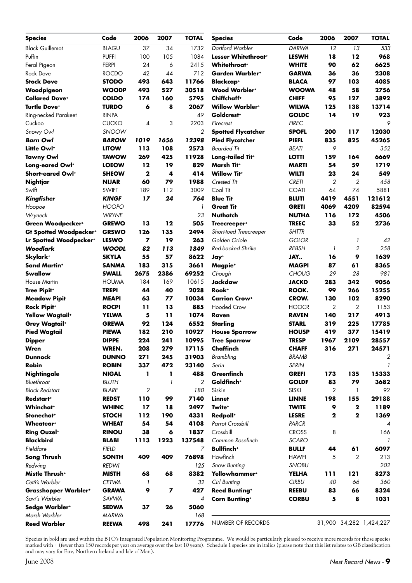| <b>Species</b>                   | Code         | 2006         | 2007 | <b>TOTAL</b>             | <b>Species</b>                  | Code         | 2006           | 2007           | <b>TOTAL</b>            |
|----------------------------------|--------------|--------------|------|--------------------------|---------------------------------|--------------|----------------|----------------|-------------------------|
| <b>Black Guillemot</b>           | <b>BLAGU</b> | 37           | 34   | 1732                     | Dartford Warbler                | <b>DARWA</b> | 12             | 13             | 533                     |
| Puffin                           | <b>PUFFI</b> | 100          | 105  | 1084                     | Lesser Whitethroat <sup>+</sup> | <b>LESWH</b> | 18             | 12             | 968                     |
| Feral Pigeon                     | <b>FERPI</b> | 24           | 6    | 2415                     | <b>Whitethroat</b> *            | <b>WHITE</b> | 90             | 62             | 6625                    |
| <b>Rock Dove</b>                 | <b>ROCDO</b> | 42           | 44   | 712                      | Garden Warbler+                 | <b>GARWA</b> | 36             | 36             | 2308                    |
| <b>Stock Dove</b>                | <b>STODO</b> | 493          | 643  | 11766                    | <b>Blackcap+</b>                | <b>BLACA</b> | 97             | 103            | 4085                    |
| Woodpigeon                       | <b>WOODP</b> | 493          | 527  | 30518                    | <b>Wood Warblert</b>            | <b>WOOWA</b> | 48             | 58             | 2756                    |
| <b>Collared Dove*</b>            | <b>COLDO</b> | 174          | 160  | 5795                     | Chiffchaff <sup>+</sup>         | <b>CHIFF</b> | 95             | $127$          | 3892                    |
| <b>Turtle Dove*</b>              | <b>TURDO</b> | 6            | 8    | 2067                     | <b>Willow Warbler*</b>          | <b>WILWA</b> | 125            | 138            | 13714                   |
| Ring-necked Parakeet             | <b>RINPA</b> |              |      | 49                       | Goldcrest <sup>+</sup>          | <b>GOLDC</b> | 14             | 19             | 923                     |
| Cuckoo                           | <b>CUCKO</b> | 4            | 3    | 2203                     | Firecrest                       | <b>FIREC</b> |                |                | 9                       |
| Snowy Owl                        | <b>SNOOW</b> |              |      | $\overline{2}$           | <b>Spotted Flycatcher</b>       | <b>SPOFL</b> | 200            | 117            | 12030                   |
| <b>Barn Owl</b>                  | <b>BAROW</b> | 1019         | 1656 | 12398                    | <b>Pied Flycatcher</b>          | <b>PIEFL</b> | 835            | 825            | 45265                   |
| Little Owl <sup>+</sup>          | <b>LITOW</b> | 113          | 108  | 2573                     | <b>Bearded Tit</b>              | <b>BEATI</b> | 9              |                | 352                     |
| <b>Tawny Owl</b>                 | <b>TAWOW</b> | 269          | 425  | 11928                    | Long-tailed Tit <sup>+</sup>    | <b>LOTTI</b> | 159            | 164            | 6669                    |
| Long-eared Owl+                  | <b>LOEOW</b> | 12           | 19   | 829                      | Marsh Tit <sup>+</sup>          | <b>MARTI</b> | 54             | 59             | 1719                    |
| Short-eared Owl+                 | <b>SHEOW</b> | $\mathbf{2}$ | 4    | 414                      | <b>Willow Titt</b>              | <b>WILTI</b> | 23             | 24             | 549                     |
| Nightjar                         | <b>NIJAR</b> | 60           | 79   | 1988                     | Crested Tit                     | <b>CRETI</b> | 2              | $\overline{2}$ | 458                     |
| Swift                            | <b>SWIFT</b> | 189          | 112  | 3009                     | Coal Tit                        | <b>COATI</b> | 64             | 74             | 5881                    |
| Kingfisher                       | <b>KINGF</b> | 17           | 24   | 764                      | <b>Blue Tit</b>                 | <b>BLUTI</b> | 4419           | 4551           | 121612                  |
| Hoopoe                           | <b>HOOPO</b> |              |      | $\overline{\phantom{a}}$ | <b>Great Tit</b>                | <b>GRETI</b> | 4069           | 4209           | 82594                   |
| Wryneck                          | <b>WRYNE</b> |              |      | 23                       | <b>Nuthatch</b>                 | <b>NUTHA</b> | 116            | 172            | 4506                    |
| Green Woodpecker+                | <b>GREWO</b> | 13           | 12   | 505                      | Treecreeper <sup>+</sup>        | <b>TREEC</b> | 33             | 52             | 2736                    |
| <b>Gt Spotted Woodpeckert</b>    | <b>GRSWO</b> | 126          | 135  | 2494                     | Short-toed Treecreeper          | <b>SHTTR</b> |                |                |                         |
| Lr Spotted Woodpecker+           | <b>LESWO</b> | 7            | 19   | 263                      | Golden Oriole                   | <b>GOLOR</b> |                | 1              | 42                      |
| <b>Woodlark</b>                  | <b>WOODL</b> | 82           | 113  | 1849                     | Red-backed Shrike               | <b>REBSH</b> | 1              | 2              | 258                     |
| Skylark <sup>+</sup>             | <b>SKYLA</b> | 55           | 57   | 8622                     | Jay <sup>+</sup>                | JAY          | 16             | 9              | 1639                    |
| <b>Sand Martin*</b>              | <b>SANMA</b> | 183          | 315  | 3661                     | Magpie <sup>+</sup>             | <b>MAGPI</b> | 87             | 61             | 8365                    |
| Swallow                          | <b>SWALL</b> | 2675         | 2386 | 69252                    | Chough                          | <b>CHOUG</b> | 29             | 28             | 981                     |
| <b>House Martin</b>              | <b>HOUMA</b> | 184          | 169  | 10615                    | Jackdaw                         | <b>JACKD</b> | 283            | 342            | 9056                    |
| <b>Tree Pipit+</b>               | <b>TREPI</b> | 44           | 40   | 2028                     | Rook <sup>+</sup>               | ROOK.        | 99             | 266            | 15255                   |
| <b>Meadow Pipit</b>              | <b>MEAPI</b> | 63           | 77   | 10034                    | <b>Carrion Crow+</b>            | CROW.        | 130            | 102            | 8290                    |
| <b>Rock Pipit+</b>               | <b>ROCPI</b> | 11           | 13   | 885                      | <b>Hooded Crow</b>              | <b>HOOCR</b> | $\overline{2}$ | $\overline{2}$ | 1153                    |
| Yellow Wagtail <sup>+</sup>      | <b>YELWA</b> | 5            | 11   | 1074                     | Raven                           | <b>RAVEN</b> | 140            | 217            | 4913                    |
| <b>Grey Wagtail</b> <sup>+</sup> | <b>GREWA</b> | 92           | 124  | 6552                     | Starling                        | <b>STARL</b> | 319            | 225            | 17785                   |
| <b>Pied Wagtail</b>              | <b>PIEWA</b> | 182          | 210  | 10927                    | <b>House Sparrow</b>            | <b>HOUSP</b> | 419            | 377            | 15419                   |
| <b>Dipper</b>                    | <b>DIPPE</b> | 224          | 241  | 10995                    | <b>Tree Sparrow</b>             | <b>TRESP</b> | 1967           | 2109           | 28557                   |
| Wren                             | <b>WREN.</b> | 208          | 279  | 17115                    | Chaffinch                       | <b>CHAFF</b> | 316            | 271            | 24571                   |
| <b>Dunnock</b>                   | <b>DUNNO</b> | 271          | 245  | 31903                    | Brambling                       | <b>BRAMB</b> |                |                | 2                       |
| <b>Robin</b>                     | <b>ROBIN</b> | 337          | 472  | 23140                    | Serin                           | <b>SERIN</b> |                |                |                         |
| Nightingale                      | <b>NIGAL</b> | 1            | L    | 488                      | Greenfinch                      | <b>GREFI</b> | 173            | 135            | 15333                   |
| Bluethroat                       | <b>BLUTH</b> |              |      | 2                        | Goldfinch <sup>+</sup>          | <b>GOLDF</b> | 83             | 79             | 3682                    |
| <b>Black Redstart</b>            | <b>BLARE</b> | 2            |      | 180                      | Siskin                          | <b>SISKI</b> | 2              | $\mathbf{1}$   | 92                      |
| Redstart <sup>+</sup>            | <b>REDST</b> | 110          | 99   | 7140                     | Linnet                          | <b>LINNE</b> | 198            | 155            | 29188                   |
| <b>Whinchat</b> *                | <b>WHINC</b> | 17           | 18   | 2497                     | Twite <sup>+</sup>              | <b>TWITE</b> | 9              | 2              | 1189                    |
| Stonechat <sup>+</sup>           | <b>STOCH</b> | 112          | 190  | 4331                     | Redpoll <sup>+</sup>            | <b>LESRE</b> | $\mathbf{2}$   | $\mathbf{2}$   | 1369                    |
| Wheatear <sup>+</sup>            | <b>WHEAT</b> | 54           | 54   | 4108                     | Parrot Crossbill                | PARCR        |                |                | 4                       |
| <b>Ring Ouzel*</b>               | <b>RINOU</b> | 38           | 6    | 1837                     | Crossbill                       | <b>CROSS</b> | 8              |                | 166                     |
| <b>Blackbird</b>                 | <b>BLABI</b> | 1113         | 1223 | 137548                   | Common Rosefinch                | <b>SCARO</b> |                |                |                         |
| Fieldfare                        | <b>FIELD</b> |              |      | 7                        | <b>Bullfinch*</b>               | <b>BULLF</b> | 44             | 61             | 6097                    |
| Song Thrush                      | <b>SONTH</b> | 409          | 409  | 76898                    | Hawfinch                        | <b>HAWFI</b> | 5              | 2              | 213                     |
| Redwing                          | <b>REDWI</b> |              |      | 125                      | <b>Snow Bunting</b>             | <b>SNOBU</b> |                |                | 202                     |
| Mistle Thrush <sup>+</sup>       | <b>MISTH</b> | 68           | 68   | 8382                     | Yellowhammer <sup>+</sup>       | <b>YELHA</b> | 111            | 121            | 8273                    |
| Cetti's Warbler                  | <b>CETWA</b> | 1            |      | 32                       | Cirl Bunting                    | <b>CIRBU</b> | 40             | 66             | 360                     |
| <b>Grasshopper Warblert</b>      | <b>GRAWA</b> | 9            | 7    | 427                      | <b>Reed Bunting*</b>            | <b>REEBU</b> | 83             | 66             | 8324                    |
| Savi's Warbler                   | SAVWA        |              |      | 4                        | <b>Corn Bunting*</b>            | <b>CORBU</b> | 5              | 8              | 1031                    |
| Sedge Warbler+                   | <b>SEDWA</b> | 37           | 26   | 5060                     |                                 |              |                |                |                         |
| Marsh Warbler                    | <b>MARWA</b> |              |      | 168                      | NUMBER OF RECORDS               |              |                |                | 31,900 34,282 1,424,227 |
| <b>Reed Warbler</b>              | <b>REEWA</b> | 498          | 241  | 17776                    |                                 |              |                |                |                         |

Species in bold are used within the BTO's Integrated Population Monitoring Programme. We would be particularly pleased to receive more records for those species marked with + (fewer than 150 records per year on average over the last 10 years). Schedule 1 species are in italics (please note that this list relates to GB classification and may vary for Eire, Northern Ireland and Isle of Man).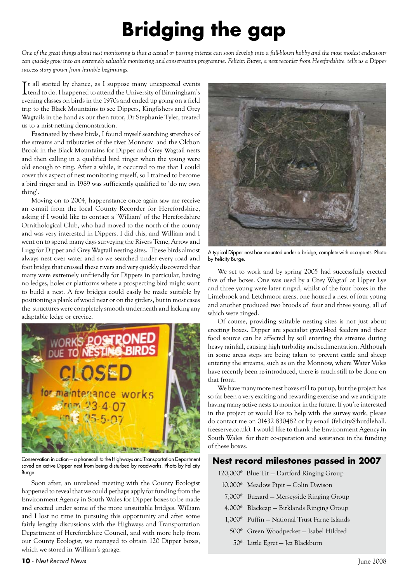## **Bridging the gap**

*One of the great things about nest monitoring is that a casual or passing interest can soon develop into a full-blown hobby and the most modest endeavour can quickly grow into an extremely valuable monitoring and conservation programme. Felicity Burge, a nest recorder from Herefordshire, tells us a Dipper success story grown from humble beginnings.*

It all started by chance, as I suppose many unexpected events<br>tend to do. I happened to attend the University of Birmingham's Tt all started by chance, as I suppose many unexpected events evening classes on birds in the 1970s and ended up going on a field trip to the Black Mountains to see Dippers, Kingfishers and Grey Wagtails in the hand as our then tutor, Dr Stephanie Tyler, treated us to a mist-netting demonstration.

Fascinated by these birds, I found myself searching stretches of the streams and tributaries of the river Monnow and the Olchon Brook in the Black Mountains for Dipper and Grey Wagtail nests and then calling in a qualified bird ringer when the young were old enough to ring. After a while, it occurred to me that I could cover this aspect of nest monitoring myself, so I trained to become a bird ringer and in 1989 was sufficiently qualified to 'do my own thing'.

Moving on to 2004, happenstance once again saw me receive an e-mail from the local County Recorder for Herefordshire, asking if I would like to contact a 'William' of the Herefordshire Ornithological Club, who had moved to the north of the county and was very interested in Dippers. I did this, and William and I went on to spend many days surveying the Rivers Teme, Arrow and Lugg for Dipper and Grey Wagtail nesting sites. These birds almost always nest over water and so we searched under every road and foot bridge that crossed these rivers and very quickly discovered that many were extremely unfriendly for Dippers in particular, having no ledges, holes or platforms where a prospecting bird might want to build a nest. A few bridges could easily be made suitable by positioning a plank of wood near or on the girders, but in most cases the structures were completely smooth underneath and lacking any adaptable ledge or crevice.



Conservation in action—a phonecall to the Highways and Transportation Department saved an active Dipper nest from being disturbed by roadworks. Photo by Felicity Burge.

Soon after, an unrelated meeting with the County Ecologist happened to reveal that we could perhaps apply for funding from the Environment Agency in South Wales for Dipper boxes to be made and erected under some of the more unsuitable bridges. William and I lost no time in pursuing this opportunity and after some fairly lengthy discussions with the Highways and Transportation Department of Herefordshire Council, and with more help from our County Ecologist, we managed to obtain 120 Dipper boxes, which we stored in William's garage.



A typical Dipper nest box mounted under a bridge, complete with occupants. Photo by Felicity Burge.

We set to work and by spring 2005 had successfully erected five of the boxes. One was used by a Grey Wagtail at Upper Lye and three young were later ringed, whilst of the four boxes in the Limebrook and Letchmoor areas, one housed a nest of four young and another produced two broods of four and three young, all of which were ringed.

Of course, providing suitable nesting sites is not just about erecting boxes. Dipper are specialist gravel-bed feeders and their food source can be affected by soil entering the streams during heavy rainfall, causing high turbidity and sedimentation. Although in some areas steps are being taken to prevent cattle and sheep entering the streams, such as on the Monnow, where Water Voles have recently been re-introduced, there is much still to be done on that front.

We have many more nest boxes still to put up, but the project has so far been a very exciting and rewarding exercise and we anticipate having many active nests to monitor in the future. If you're interested in the project or would like to help with the survey work, please do contact me on 01432 830482 or by e-mail (felicity@hurdlehall. freeserve.co.uk). I would like to thank the Environment Agency in South Wales for their co-operation and assistance in the funding of these boxes.

### **Nest record milestones passed in 2007**

- 120,000<sup>th</sup> Blue Tit Dartford Ringing Group
- 10,000th Meadow Pipit Colin Davison
- 7,000th Buzzard Merseyside Ringing Group
- $4,000$ <sup>th</sup> Blackcap Birklands Ringing Group
- 1,000th Puffin National Trust Farne Islands
- 500th Green Woodpecker Isabel Hildred
- 50th Little Egret Jez Blackburn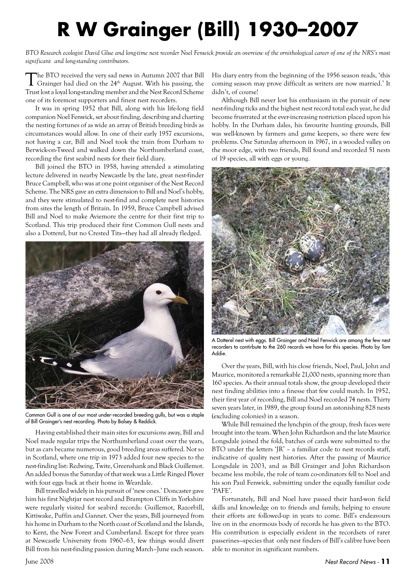## **R W Grainger (Bill) 1930–2007**

*BTO Research ecologist David Glue and long-time nest recorder Noel Fenwick provide an overview of the ornithological career of one of the NRS's most significant and long-standing contributors.*

The BTO received the very sad news in Autumn 2007 that Bill Grainger had died on the 24<sup>th</sup> August. With his passing, the Trust lost a loyal long-standing member and the Nest Record Scheme one of its foremost supporters and finest nest recorders.

It was in spring 1952 that Bill, along with his life-long field companion Noel Fenwick, set about finding, describing and charting the nesting fortunes of as wide an array of British breeding birds as circumstances would allow. In one of their early 1957 excursions, not having a car, Bill and Noel took the train from Durham to Berwick-on-Tweed and walked down the Northumberland coast, recording the first seabird nests for their field diary.

Bill joined the BTO in 1958, having attended a stimulating lecture delivered in nearby Newcastle by the late, great nest-finder Bruce Campbell, who was at one point organiser of the Nest Record Scheme. The NRS gave an extra dimension to Bill and Noel's hobby, and they were stimulated to nest-find and complete nest histories from sites the length of Britain. In 1959, Bruce Campbell advised Bill and Noel to make Aviemore the centre for their first trip to Scotland. This trip produced their first Common Gull nests and also a Dotterel, but no Crested Tits—they had all already fledged.



Common Gull is one of our most under-recorded breeding gulls, but was a staple of Bill Grainger's nest recording. Photo by Balsey & Reddick.

Having established their main sites for excursions away, Bill and Noel made regular trips the Northumberland coast over the years, but as cars became numerous, good breeding areas suffered. Not so in Scotland, where one trip in 1973 added four new species to the nest-finding list: Redwing, Twite, Greenshank and Black Guillemot. An added bonus the Saturday of that week was a Little Ringed Plover with four eggs back at their home in Weardale.

Bill travelled widely in his pursuit of 'new ones.' Doncaster gave him his first Nightjar nest record and Brampton Cliffs in Yorkshire were regularly visited for seabird records: Guillemot, Razorbill, Kittiwake, Puffin and Gannet. Over the years, Bill journeyed from his home in Durham to the North coast of Scotland and the Islands, to Kent, the New Forest and Cumberland. Except for three years at Newcastle University from 1960–63, few things would divert Bill from his nest-finding passion during March–June each season.

His diary entry from the beginning of the 1956 season reads, 'this coming season may prove difficult as writers are now married.' It didn't, of course!

Although Bill never lost his enthusiasm in the pursuit of new nest-finding ticks and the highest nest record total each year, he did become frustrated at the ever-increasing restriction placed upon his hobby. In the Durham dales, his favourite hunting grounds, Bill was well-known by farmers and game keepers, so there were few problems. One Saturday afternoon in 1967, in a wooded valley on the moor edge, with two friends, Bill found and recorded 51 nests of 19 species, all with eggs or young.



A Dotterel nest with eggs. Bill Grainger and Noel Fenwick are among the few nest recorders to contirbute to the 260 records we have for this species. Photo by Tom Addie.

Over the years, Bill, with his close friends, Noel, Paul, John and Maurice, monitored a remarkable 21,000 nests, spanning more than 160 species. As their annual totals show, the group developed their nest finding abilities into a finesse that few could match. In 1952, their first year of recording, Bill and Noel recorded 74 nests. Thirty seven years later, in 1989, the group found an astonishing 828 nests (excluding colonies) in a season.

While Bill remained the lynchpin of the group, fresh faces were brought into the team. When John Richardson and the late Maurice Longsdale joined the fold, batches of cards were submitted to the BTO under the letters 'JR' – a familiar code to nest records staff, indicative of quality nest histories. After the passing of Maurice Longsdale in 2003, and as Bill Grainger and John Richardson became less mobile, the role of team co-ordinators fell to Noel and his son Paul Fenwick, submitting under the equally familiar code 'PAFE'.

Fortunately, Bill and Noel have passed their hard-won field skills and knowledge on to friends and family, helping to ensure their efforts are followed-up in years to come. Bill's endeavours live on in the enormous body of records he has given to the BTO. His contribution is especially evident in the recordsets of rarer passerines—species that only nest finders of Bill's calibre have been able to monitor in significant numbers.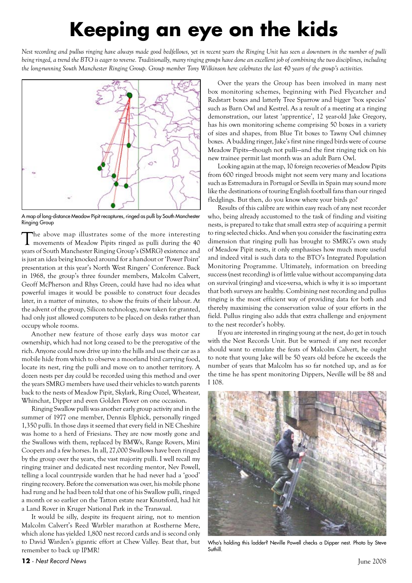## **Keeping an eye on the kids**

*Nest recording and pullus ringing have always made good bedfellows, yet in recent years the Ringing Unit has seen a downturn in the number of pulli being ringed, a trend the BTO is eager to reverse. Traditionally, many ringing groups have done an excellent job of combining the two disciplines, including the long-running South Manchester Ringing Group. Group member Tony Wilkinson here celebrates the last 40 years of the group's activities.*



A map of long-distance Meadow Pipit recaptures, ringed as pulli by South Manchester Ringing Group

The above map illustrates some of the more interesting<br>movements of Meadow Pipits ringed as pulli during the 40 years of South Manchester Ringing Group's (SMRG) existence and is just an idea being knocked around for a handout or 'Power Point' presentation at this year's North West Ringers' Conference. Back in 1968, the group's three founder members, Malcolm Calvert, Geoff McPherson and Rhys Green, could have had no idea what powerful images it would be possible to construct four decades later, in a matter of minutes, to show the fruits of their labour. At the advent of the group, Silicon technology, now taken for granted, had only just allowed computers to be placed on desks rather than occupy whole rooms.

Another new feature of those early days was motor car ownership, which had not long ceased to be the prerogative of the rich. Anyone could now drive up into the hills and use their car as a mobile hide from which to observe a moorland bird carrying food, locate its nest, ring the pulli and move on to another territory. A dozen nests per day could be recorded using this method and over the years SMRG members have used their vehicles to watch parents back to the nests of Meadow Pipit, Skylark, Ring Ouzel, Wheatear, Whinchat, Dipper and even Golden Plover on one occasion.

Ringing Swallow pulli was another early group activity and in the summer of 1977 one member, Dennis Elphick, personally ringed 1,350 pulli. In those days it seemed that every field in NE Cheshire was home to a herd of Friesians. They are now mostly gone and the Swallows with them, replaced by BMWs, Range Rovers, Mini Coopers and a few horses. In all, 27,000 Swallows have been ringed by the group over the years, the vast majority pulli. I well recall my ringing trainer and dedicated nest recording mentor, Nev Powell, telling a local countryside warden that he had never had a 'good' ringing recovery. Before the conversation was over, his mobile phone had rung and he had been told that one of his Swallow pulli, ringed a month or so earlier on the Tatton estate near Knutsford, had hit a Land Rover in Kruger National Park in the Transvaal.

It would be silly, despite its frequent airing, not to mention Malcolm Calvert's Reed Warbler marathon at Rostherne Mere, which alone has yielded 1,800 nest record cards and is second only to David Warden's gigantic effort at Chew Valley. Beat that, but remember to back up IPMR!

Over the years the Group has been involved in many nest box monitoring schemes, beginning with Pied Flycatcher and Redstart boxes and latterly Tree Sparrow and bigger 'box species' such as Barn Owl and Kestrel. As a result of a meeting at a ringing demonstration, our latest 'apprentice', 12 year-old Jake Gregory, has his own monitoring scheme comprising 50 boxes in a variety of sizes and shapes, from Blue Tit boxes to Tawny Owl chimney boxes. A budding ringer, Jake's first nine ringed birds were of course Meadow Pipits—though not pulli—and the first ringing tick on his new trainee permit last month was an adult Barn Owl.

Looking again at the map, 10 foreign recoveries of Meadow Pipits from 600 ringed broods might not seem very many and locations such as Estremadura in Portugal or Sevilla in Spain may sound more like the destinations of touring English football fans than our ringed fledglings. But then, do you know where your birds go?

Results of this calibre are within easy reach of any nest recorder who, being already accustomed to the task of finding and visiting nests, is prepared to take that small extra step of acquiring a permit to ring selected chicks. And when you consider the fascinating extra dimension that ringing pulli has brought to SMRG's own study of Meadow Pipit nests, it only emphasises how much more useful and indeed vital is such data to the BTO's Integrated Population Monitoring Programme. Ultimately, information on breeding success (nest recording) is of little value without accompanying data on survival (ringing) and vice-versa, which is why it is so important that both surveys are healthy. Combining nest recording and pullus ringing is the most efficient way of providing data for both and thereby maximising the conservation value of your efforts in the field. Pullus ringing also adds that extra challenge and enjoyment to the nest recorder's hobby.

If you are interested in ringing young at the nest, do get in touch with the Nest Records Unit. But be warned: if any nest recorder should want to emulate the feats of Malcolm Calvert, he ought to note that young Jake will be 50 years old before he exceeds the number of years that Malcolm has so far notched up, and as for the time he has spent monitoring Dippers, Neville will be 88 and I 108.



Who's holding this ladder? Neville Powell checks a Dipper nest. Photo by Steve **Suthill**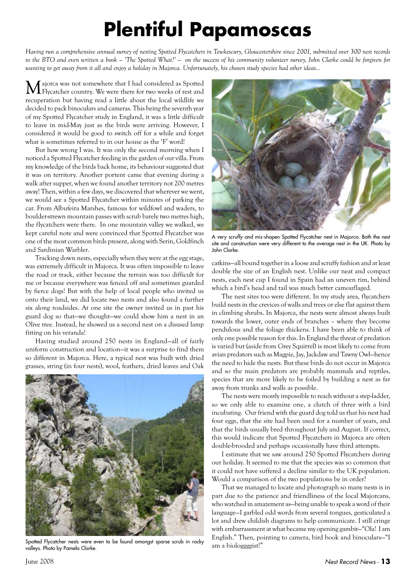## **Plentiful Papamoscas**

*Having run a comprehensive annual survey of nesting Spotted Flycatchers in Tewkescury, Gloucestershire since 2001, submitted over 300 nest records to the BTO and even written a book – 'The Spotted What?' – on the success of his community volunteer survey, John Clarke could be forgiven for wanting to get away from it all and enjoy a holiday in Majorca. Unfortunately, his chosen study species had other ideas...*

Majorca was not somewhere that I had considered as Spotted Flycatcher country. We were there for two weeks of rest and recuperation but having read a little about the local wildlife we decided to pack binoculars and cameras. This being the seventh year of my Spotted Flycatcher study in England, it was a little difficult to leave in mid-May just as the birds were arriving. However, I considered it would be good to switch off for a while and forget what is sometimes referred to in our house as the 'F' word!

But how wrong I was. It was only the second morning when I noticed a Spotted Flycatcher feeding in the garden of our villa. From my knowledge of the birds back home, its behaviour suggested that it was on territory. Another portent came that evening during a walk after supper, when we found another territory not 200 metres away! Then, within a few days, we discovered that wherever we went, we would see a Spotted Flycatcher within minutes of parking the car. From Albufeira Marshes, famous for wildfowl and waders, to boulder-strewn mountain passes with scrub barely two metres high, the flycatchers were there. In one mountain valley we walked, we kept careful note and were convinced that Spotted Flycatcher was one of the most common birds present, along with Serin, Goldfinch and Sardinian Warbler.

Tracking down nests, especially when they were at the egg stage, was extremely difficult in Majorca. It was often impossible to leave the road or track, either because the terrain was too difficult for me or because everywhere was fenced off and sometimes guarded by fierce dogs! But with the help of local people who invited us onto their land, we did locate two nests and also found a further six along roadsides. At one site the owner invited us in past his guard dog so that—we thought—we could show him a nest in an Olive tree. Instead, he showed us a second nest on a disused lamp fitting on his veranda!

Having studied around 250 nests in England—all of fairly uniform construction and location—it was a surprise to find them so different in Majorca. Here, a typical nest was built with dried grasses, string (in four nests), wool, feathers, dried leaves and Oak



Spotted Flycatcher nests were even to be found amongst sparse scrub in rocky valleys. Photo by Pamela Clarke.



A very scruffy and mis-shapen Spotted Flycatcher nest in Majorca. Both the nest site and construction were very different to the average nest in the UK. Photo by John Clarke.

catkins—all bound together in a loose and scruffy fashion and at least double the size of an English nest. Unlike our neat and compact nests, each nest cup I found in Spain had an uneven rim, behind which a bird's head and tail was much better camouflaged.

The nest sites too were different. In my study area, flycatchers build nests in the crevices of walls and trees or else flat against them in climbing shrubs. In Majorca, the nests were almost always built towards the lower, outer ends of branches – where they become pendulous and the foliage thickens. I have been able to think of only one possible reason for this. In England the threat of predation is varied but (aside from Grey Squirrel) is most likely to come from avian predators such as Magpie, Jay, Jackdaw and Tawny Owl—hence the need to hide the nests. But these birds do not occur in Majorca and so the main predators are probably mammals and reptiles, species that are more likely to be foiled by building a nest as far away from trunks and walls as possible.

The nests were mostly impossible to reach without a step-ladder, so we only able to examine one, a clutch of three with a bird incubating. Our friend with the guard dog told us that his nest had four eggs, that the site had been used for a number of years, and that the birds usually bred throughout July and August. If correct, this would indicate that Spotted Flycatchers in Majorca are often double-brooded and perhaps occasionally have third attempts.

I estimate that we saw around 250 Spotted Flycatchers during our holiday. It seemed to me that the species was so common that it could not have suffered a decline similar to the UK population. Would a comparison of the two populations be in order?

That we managed to locate and photograph so many nests is in part due to the patience and friendliness of the local Majorcans, who watched in amazement as—being unable to speak a word of their language—I garbled odd words from several tongues, gesticulated a lot and drew childish diagrams to help communicate. I still cringe with embarrassment at what became my opening gambit—"Ola! I am English." Then, pointing to camera, bird book and binoculars—"I am a biologgggist!"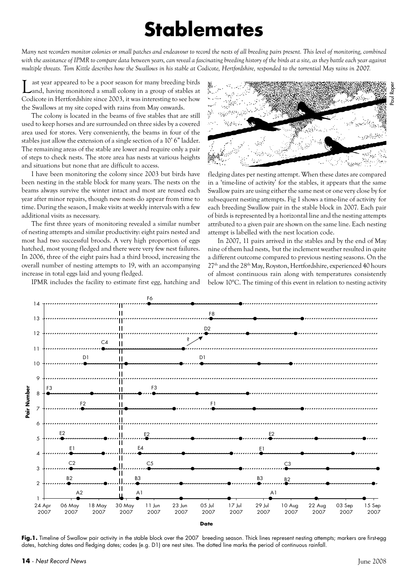### **Stablemates**

*Many nest recorders monitor colonies or small patches and endeavour to record the nests of all breeding pairs present. This level of monitoring, combined with the assistance of IPMR to compare data between years, can reveal a fascinating breeding history of the birds at a site, as they battle each year against multiple threats. Tom Kittle describes how the Swallows in his stable at Codicote, Hertfordshire, responded to the torrential May rains in 2007.*

ast year appeared to be a poor season for many breeding birds and, having monitored a small colony in a group of stables at Codicote in Hertfordshire since 2003, it was interesting to see how the Swallows at my site coped with rains from May onwards.

The colony is located in the beams of five stables that are still used to keep horses and are surrounded on three sides by a covered area used for stores. Very conveniently, the beams in four of the stables just allow the extension of a single section of a 10' 6" ladder. The remaining areas of the stable are lower and require only a pair of steps to check nests. The store area has nests at various heights and situations but none that are difficult to access.

I have been monitoring the colony since 2003 but birds have been nesting in the stable block for many years. The nests on the beams always survive the winter intact and most are reused each year after minor repairs, though new nests do appear from time to time. During the season, I make visits at weekly intervals with a few additional visits as necessary.

The first three years of monitoring revealed a similar number of nesting attempts and similar productivity: eight pairs nested and most had two successful broods. A very high proportion of eggs hatched, most young fledged and there were very few nest failures. In 2006, three of the eight pairs had a third brood, increasing the overall number of nesting attempts to 19, with an accompanying increase in total eggs laid and young fledged.

IPMR includes the facility to estimate first egg, hatching and



fledging dates per nesting attempt. When these dates are compared in a 'time-line of activity' for the stables, it appears that the same Swallow pairs are using either the same nest or one very close by for subsequent nesting attempts. Fig 1 shows a time-line of activity for each breeding Swallow pair in the stable block in 2007. Each pair of birds is represented by a horizontal line and the nesting attempts attributed to a given pair are shown on the same line. Each nesting attempt is labelled with the nest location code.

In 2007, 11 pairs arrived in the stables and by the end of May nine of them had nests, but the inclement weather resulted in quite a different outcome compared to previous nesting seasons. On the  $27<sup>th</sup>$  and the  $28<sup>th</sup>$  May, Royston, Hertfordshire, experienced 40 hours of almost continuous rain along with temperatures consistently below 10°C. The timing of this event in relation to nesting activity



Fig.1. Timeline of Swallow pair activity in the stable block over the 2007 breeding season. Thick lines represent nesting attempts; markers are first-egg dates, hatching dates and fledging dates; codes (e.g. D1) are nest sites. The dotted line marks the period of continuous rainfall.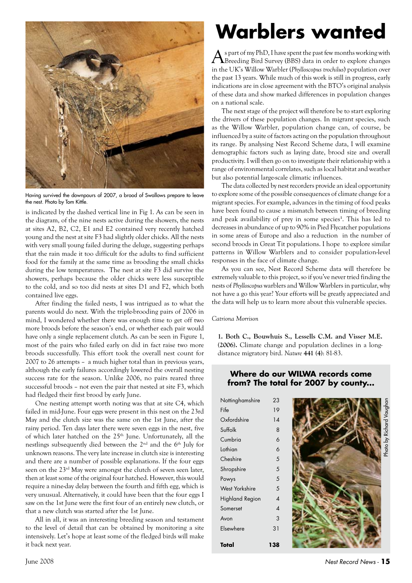

Having survived the downpours of 2007, a brood of Swallows prepare to leave the nest. Photo by Tom Kittle.

is indicated by the dashed vertical line in Fig 1. As can be seen in the diagram, of the nine nests active during the showers, the nests at sites A2, B2, C2, E1 and E2 contained very recently hatched young and the nest at site F3 had slightly older chicks. All the nests with very small young failed during the deluge, suggesting perhaps that the rain made it too difficult for the adults to find sufficient food for the family at the same time as brooding the small chicks during the low temperatures. The nest at site F3 did survive the showers, perhaps because the older chicks were less susceptible to the cold, and so too did nests at sites D1 and F2, which both contained live eggs.

After finding the failed nests, I was intrigued as to what the parents would do next. With the triple-brooding pairs of 2006 in mind, I wondered whether there was enough time to get off two more broods before the season's end, or whether each pair would have only a single replacement clutch. As can be seen in Figure 1, most of the pairs who failed early on did in fact raise two more broods successfully. This effort took the overall nest count for 2007 to 26 attempts – a much higher total than in previous years, although the early failures accordingly lowered the overall nesting success rate for the season. Unlike 2006, no pairs reared three successful broods – not even the pair that nested at site F3, which had fledged their first brood by early June.

One nesting attempt worth noting was that at site C4, which failed in mid-June. Four eggs were present in this nest on the 23rd May and the clutch size was the same on the 1st June, after the rainy period. Ten days later there were seven eggs in the nest, five of which later hatched on the 25<sup>th</sup> June. Unfortunately, all the nestlings subsequently died between the 2<sup>nd</sup> and the 6<sup>th</sup> July for unknown reasons. The very late increase in clutch size is interesting and there are a number of possible explanations. If the four eggs seen on the 23<sup>rd</sup> May were amongst the clutch of seven seen later, then at least some of the original four hatched. However, this would require a nine-day delay between the fourth and fifth egg, which is very unusual. Alternatively, it could have been that the four eggs I saw on the 1st June were the first four of an entirely new clutch, or that a new clutch was started after the 1st June.

All in all, it was an interesting breeding season and testament to the level of detail that can be obtained by monitoring a site intensively. Let's hope at least some of the fledged birds will make it back next year.

## **Warblers wanted**

As part of my PhD, I have spent the past few months working with Breeding Bird Survey (BBS) data in order to explore changes in the UK's Willow Warbler (*Phylloscopus trochilus*) population over the past 13 years. While much of this work is still in progress, early indications are in close agreement with the BTO's original analysis of these data and show marked differences in population changes on a national scale.

The next stage of the project will therefore be to start exploring the drivers of these population changes. In migrant species, such as the Willow Warbler, population change can, of course, be influenced by a suite of factors acting on the population throughout its range. By analysing Nest Record Scheme data, I will examine demographic factors such as laying date, brood size and overall productivity. I will then go on to investigate their relationship with a range of environmental correlates, such as local habitat and weather but also potential large-scale climatic influences.

The data collected by nest recorders provide an ideal opportunity to explore some of the possible consequences of climate change for a migrant species. For example, advances in the timing of food peaks have been found to cause a mismatch between timing of breeding and peak availability of prey in some species**<sup>1</sup>** . This has led to decreases in abundance of up to 90% in Pied Flycatcher populations in some areas of Europe and also a reduction in the number of second broods in Great Tit populations. I hope to explore similar patterns in Willow Warblers and to consider population-level responses in the face of climate change.

As you can see, Nest Record Scheme data will therefore be extremely valuable to this project, so if you've never tried finding the nests of *Phylloscopus* warblers and Willow Warblers in particular, why not have a go this year? Your efforts will be greatly appreciated and the data will help us to learn more about this vulnerable species.

#### *Catriona Morrison*

**1. Both C., Bouwhuis S., Lessells C.M. and Visser M.E. (2006).** Climate change and population declines in a longdistance migratory bird. *Nature* **441 (4)**: 81-83.

### **Where do our WILWA records come from? The total for 2007 by county...**

| Nottinghamshire        | 23             |  |
|------------------------|----------------|--|
| Fife                   | 19             |  |
| Oxfordshire            | 14             |  |
| Suffolk                | 8              |  |
| Cumbria                | 6              |  |
| Lothian                | 6              |  |
| Cheshire               | 5              |  |
| Shropshire             | 5              |  |
| Powys                  | 5              |  |
| <b>West Yorkshire</b>  | 5              |  |
| <b>Highland Region</b> | $\overline{4}$ |  |
| Somerset               | $\overline{A}$ |  |
| Avon                   | 3              |  |
| Elsewhere              | 31             |  |
| Total                  | 138            |  |